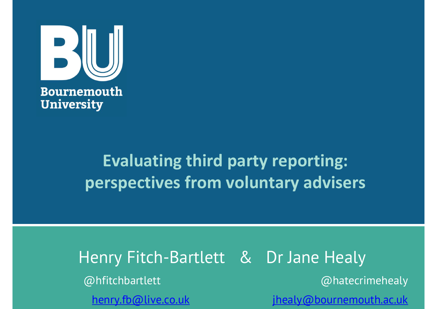

# Evaluating third party reporting: perspectives from voluntary advisers

Henry Fitch-Bartlett & Dr Jane Healy @hfitchbartlett @hatecrimehealy enry Fitch-Bartlett & Dr Jane Healy<br>Dhfitchbartlett (@hatecrimehealy<br>henr<u>y.fb@live.co.uk jhealy@bournemouth.ac.uk</u>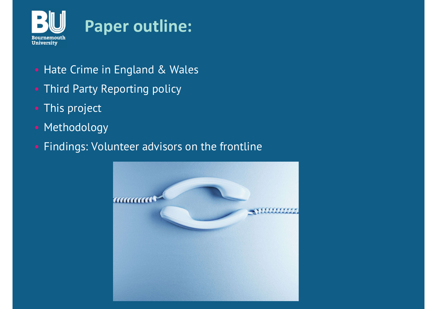

- Hate Crime in England & Wales
- Third Party Reporting policy
- This project
- Methodology
- Findings: Volunteer advisors on the frontline

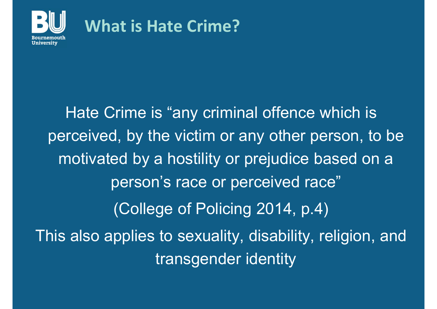

#### What is Hate Crime?

Hate Crime is "any criminal offence which is perceived, by the victim or any other person, to be motivated by a hostility or prejudice based on a person's race or perceived race" (College of Policing 2014, p.4) This also applies to sexuality, disability, religion, and transgender identity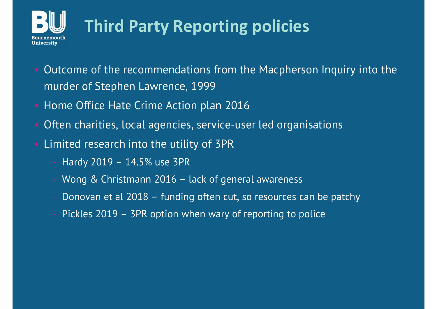

# Third Party Reporting policies

- Outcome of the recommendations from the Macpherson Inquiry into the murder of Stephen Lawrence, 1999
- Home Office Hate Crime Action plan 2016
- Often charities, local agencies, service-user led organisations ome Office Hate Crime Action plan 2016<br>ften charities, local agencies, service-user led organisations<br>mited research into the utility of 3PR<br>- Hardy 2019 – 14.5% use 3PR<br>- Wong & Christmann 2016 – lack of general awareness
- Limited research into the utility of 3PR
	-
	-
	-
	-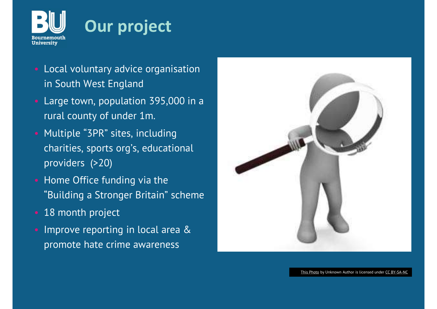

## Our project

- Local voluntary advice organisation in South West England
- Large town, population 395,000 in a rural county of under 1m.
- Multiple "3PR" sites, including charities, sports org's, educational providers (>20)
- Home Office funding via the "Building a Stronger Britain" scheme
- 18 month project
- Improve reporting in local area & promote hate crime awareness

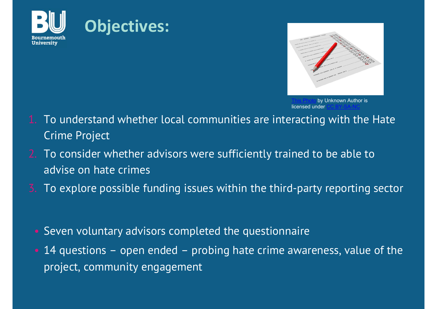





- 1. To understand whether local communities are interacting with the Hate Crime Project
- 2. To consider whether advisors were sufficiently trained to be able to advise on hate crimes
- 3. To explore possible funding issues within the third-party reporting sector
	- Seven voluntary advisors completed the questionnaire
	- 14 questions open ended probing hate crime awareness, value of the project, community engagement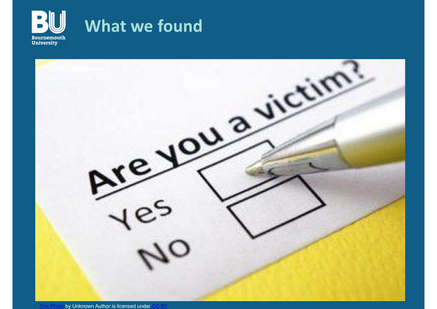

### What we found

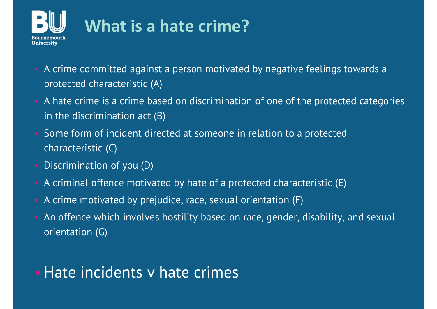

## What is a hate crime?

- A crime committed against a person motivated by negative feelings towards a protected characteristic (A)
- A hate crime is a crime based on discrimination of one of the protected categories in the discrimination act (B)
- Some form of incident directed at someone in relation to a protected characteristic (C)
- Discrimination of you (D)
- A criminal offence motivated by hate of a protected characteristic (E)
- A crime motivated by prejudice, race, sexual orientation (F)
- An offence which involves hostility based on race, gender, disability, and sexual orientation (G)

#### • Hate incidents y hate crimes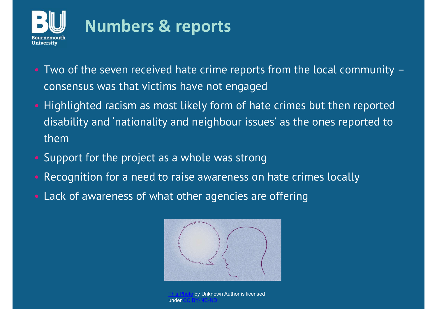

## Numbers & reports

- Two of the seven received hate crime reports from the local community consensus was that victims have not engaged
- Highlighted racism as most likely form of hate crimes but then reported disability and 'nationality and neighbour issues' as the ones reported to them
- Support for the project as a whole was strong
- Recognition for a need to raise awareness on hate crimes locally
- Lack of awareness of what other agencies are offering



by Unknown Author is licensed under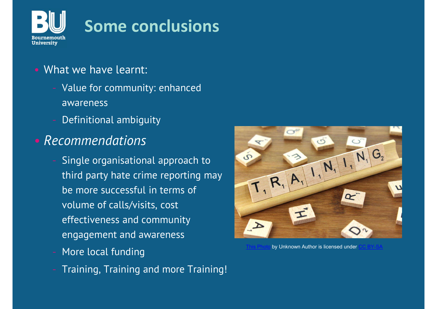

## Some conclusions

- What we have learnt:
	- Value for community: enhanced awareness
	- Definitional ambiguity
- Recommendations
	- Single organisational approach to third party hate crime reporting may be more successful in terms of volume of calls/visits, cost effectiveness and community engagement and awareness
	- More local funding
	- Training, Training and more Training!



by Unknown Author is licensed under